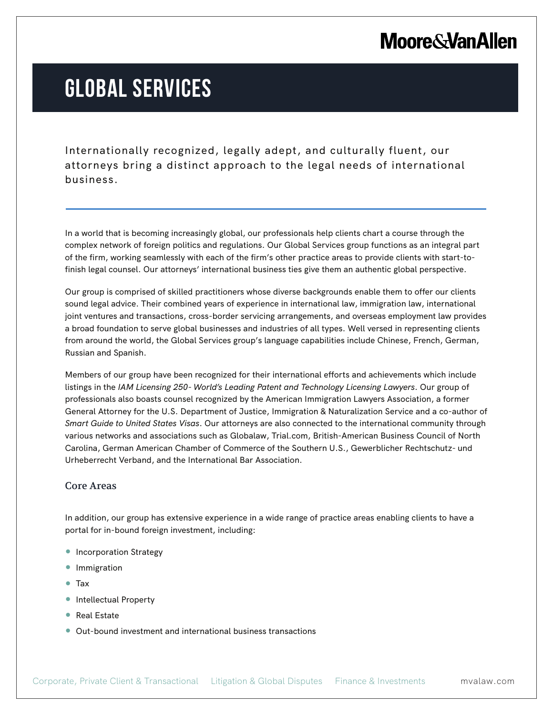### **Moore & Van Allen**

# **GLOBAL SERVICES**

Internationally recognized, legally adept, and culturally fluent, our attorneys bring a distinct approach to the legal needs of international business.

In a world that is becoming increasingly global, our professionals help clients chart a course through the complex network of foreign politics and regulations. Our Global Services group functions as an integral part of the firm, working seamlessly with each of the firm's other practice areas to provide clients with start-tofinish legal counsel. Our attorneys' international business ties give them an authentic global perspective.

Our group is comprised of skilled practitioners whose diverse backgrounds enable them to offer our clients sound legal advice. Their combined years of experience in international law, immigration law, international joint ventures and transactions, cross-border servicing arrangements, and overseas employment law provides a broad foundation to serve global businesses and industries of all types. Well versed in representing clients from around the world, the Global Services group's language capabilities include Chinese, French, German, Russian and Spanish.

Members of our group have been recognized for their international efforts and achievements which include listings in the *IAM Licensing 250- World's Leading Patent and Technology Licensing Lawyers*. Our group of professionals also boasts counsel recognized by the American Immigration Lawyers Association, a former General Attorney for the U.S. Department of Justice, Immigration & Naturalization Service and a co-author of *Smart Guide to United States Visas*. Our attorneys are also connected to the international community through various networks and associations such as Globalaw, Trial.com, British-American Business Council of North Carolina, German American Chamber of Commerce of the Southern U.S., Gewerblicher Rechtschutz- und Urheberrecht Verband, and the International Bar Association.

#### Core Areas

l.

In addition, our group has extensive experience in a wide range of practice areas enabling clients to have a portal for in-bound foreign investment, including:

- Incorporation Strategy
- Immigration
- Tax
- Intellectual Property
- Real Estate
- Out-bound investment and international business transactions